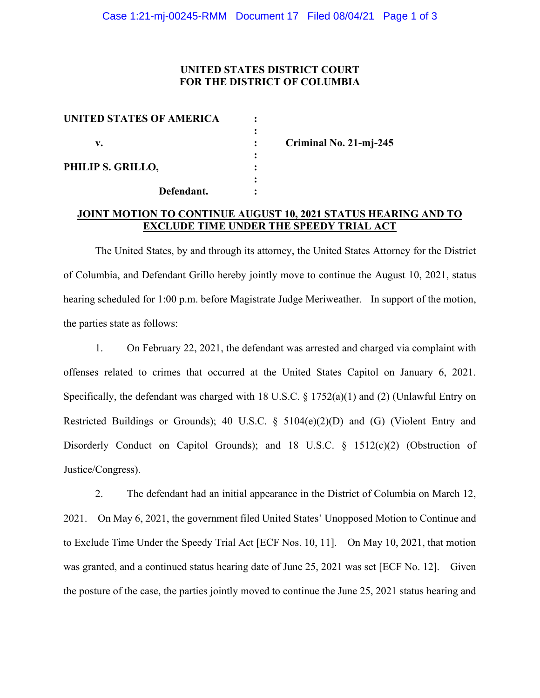# **UNITED STATES DISTRICT COURT FOR THE DISTRICT OF COLUMBIA**

| <b>UNITED STATES OF AMERICA</b> |  |
|---------------------------------|--|
|                                 |  |
| v.                              |  |
|                                 |  |
| PHILIP S. GRILLO,               |  |
|                                 |  |
| Defendant.                      |  |

**v. : Criminal No. 21-mj-245**

# **JOINT MOTION TO CONTINUE AUGUST 10, 2021 STATUS HEARING AND TO EXCLUDE TIME UNDER THE SPEEDY TRIAL ACT**

The United States, by and through its attorney, the United States Attorney for the District of Columbia, and Defendant Grillo hereby jointly move to continue the August 10, 2021, status hearing scheduled for 1:00 p.m. before Magistrate Judge Meriweather. In support of the motion, the parties state as follows:

1. On February 22, 2021, the defendant was arrested and charged via complaint with offenses related to crimes that occurred at the United States Capitol on January 6, 2021. Specifically, the defendant was charged with 18 U.S.C. § 1752(a)(1) and (2) (Unlawful Entry on Restricted Buildings or Grounds); 40 U.S.C. § 5104(e)(2)(D) and (G) (Violent Entry and Disorderly Conduct on Capitol Grounds); and 18 U.S.C. § 1512(c)(2) (Obstruction of Justice/Congress).

2. The defendant had an initial appearance in the District of Columbia on March 12, 2021. On May 6, 2021, the government filed United States' Unopposed Motion to Continue and to Exclude Time Under the Speedy Trial Act [ECF Nos. 10, 11]. On May 10, 2021, that motion was granted, and a continued status hearing date of June 25, 2021 was set [ECF No. 12]. Given the posture of the case, the parties jointly moved to continue the June 25, 2021 status hearing and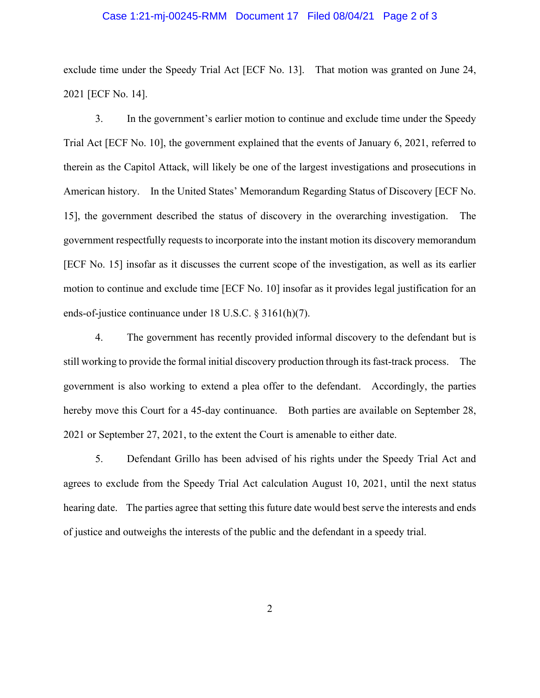#### Case 1:21-mj-00245-RMM Document 17 Filed 08/04/21 Page 2 of 3

exclude time under the Speedy Trial Act [ECF No. 13]. That motion was granted on June 24, 2021 [ECF No. 14].

3. In the government's earlier motion to continue and exclude time under the Speedy Trial Act [ECF No. 10], the government explained that the events of January 6, 2021, referred to therein as the Capitol Attack, will likely be one of the largest investigations and prosecutions in American history. In the United States' Memorandum Regarding Status of Discovery [ECF No. 15], the government described the status of discovery in the overarching investigation. The government respectfully requests to incorporate into the instant motion its discovery memorandum [ECF No. 15] insofar as it discusses the current scope of the investigation, as well as its earlier motion to continue and exclude time [ECF No. 10] insofar as it provides legal justification for an ends-of-justice continuance under 18 U.S.C. § 3161(h)(7).

4. The government has recently provided informal discovery to the defendant but is still working to provide the formal initial discovery production through its fast-track process. The government is also working to extend a plea offer to the defendant. Accordingly, the parties hereby move this Court for a 45-day continuance. Both parties are available on September 28, 2021 or September 27, 2021, to the extent the Court is amenable to either date.

5. Defendant Grillo has been advised of his rights under the Speedy Trial Act and agrees to exclude from the Speedy Trial Act calculation August 10, 2021, until the next status hearing date. The parties agree that setting this future date would best serve the interests and ends of justice and outweighs the interests of the public and the defendant in a speedy trial.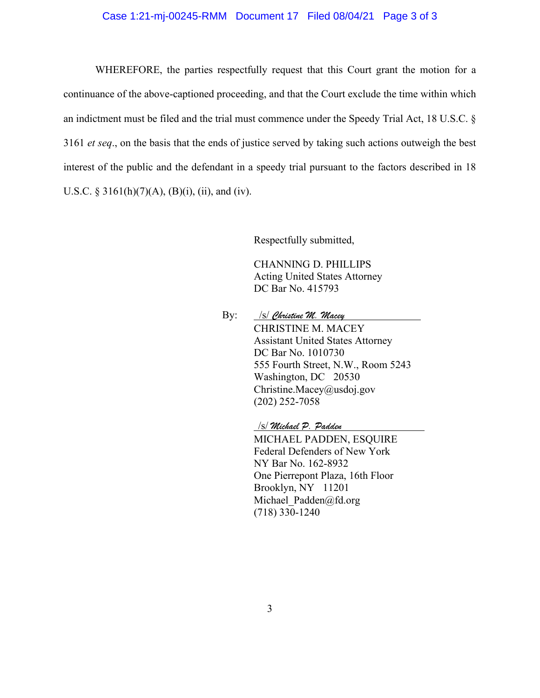### Case 1:21-mj-00245-RMM Document 17 Filed 08/04/21 Page 3 of 3

WHEREFORE, the parties respectfully request that this Court grant the motion for a continuance of the above-captioned proceeding, and that the Court exclude the time within which an indictment must be filed and the trial must commence under the Speedy Trial Act, 18 U.S.C. § 3161 *et seq*., on the basis that the ends of justice served by taking such actions outweigh the best interest of the public and the defendant in a speedy trial pursuant to the factors described in 18 U.S.C. § 3161(h)(7)(A), (B)(i), (ii), and (iv).

Respectfully submitted,

CHANNING D. PHILLIPS Acting United States Attorney DC Bar No. 415793

By: /s/ *Christine M. Macey* CHRISTINE M. MACEY Assistant United States Attorney DC Bar No. 1010730 555 Fourth Street, N.W., Room 5243 Washington, DC 20530 Christine.Macey@usdoj.gov (202) 252-7058

/s/ *Michael P. Padden* 

MICHAEL PADDEN, ESQUIRE Federal Defenders of New York NY Bar No. 162-8932 One Pierrepont Plaza, 16th Floor Brooklyn, NY 11201 Michael Padden@fd.org (718) 330-1240